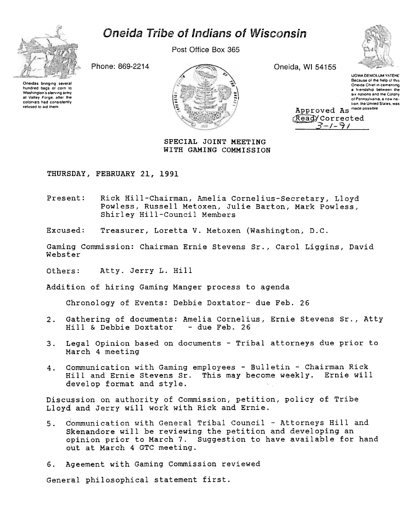## **Oneida Tribe of Indians of Wisconsin**



Post Office Box 365

Phone: 869-2214

Oneidas bringing severa hundred bags of corn to Washington's starving army at Valley Forge, after the colonists had consistently refused to aid them.



Oneida, WI 54155



**LIGWA DEMOLUM YATEHE** Because of the help of this Oneida Chief in cementing a friendship between the six nations and the Colony of Pennsylvania: a new nation the United States, was

Approved As made possible Read/Corrected マーノータノ

SPECIAL JOINT MEETING WITH GAMING COMMISSION

THURSDAY, FEBRUARY 21, 1991

Rick Hill-Chairman, Amelia Cornelius-Secretary, Lloyd Present: Powless, Russell Metoxen, Julie Barton, Mark Powless, Shirley Hill-Council Members

Excused: Treasurer, Loretta V. Metoxen (Washington, D.C.

Gaming Commission: Chairman Ernie Stevens Sr., Carol Liggins, David Webster

Others: Atty. Jerry L. Hill

Addition of hiring Gaming Manger process to agenda

Chronology of Events: Debbie Doxtator- due Feb. 26

- $2.$ Gathering of documents: Amelia Cornelius, Ernie Stevens Sr., Atty Hill & Debbie Doxtator  $-$  due Feb. 26
- $3.$ Legal Opinion based on documents - Tribal attorneys due prior to March 4 meeting
- Communication with Gaming employees Bulletin Chairman Rick  $4.$ Hill and Ernie Stevens Sr. This may become weekly. Ernie will develop format and style.

Discussion on authority of Commission, petition, policy of Tribe Lloyd and Jerry will work with Rick and Ernie.

- Communication with General Tribal Council Attorneys Hill and  $5.$ Skenandore will be reviewing the petition and developing an opinion prior to March 7. Suggestion to have available for hand out at March 4 GTC meeting.
- 6. Ageement with Gaming Commission reviewed

General philosophical statement first.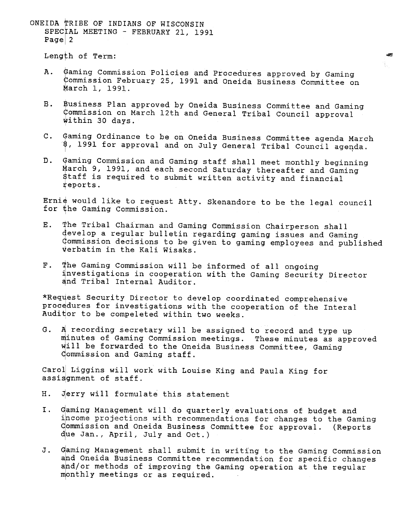ONEIDA TRIBE OF INDIANS OF WISCONSIN SPECIAL MEETING - FEBRUARY 21, 1991 Page  $2$ 

Length of Term:

t aming Commission Policies and Procedures approved by Gaming  $A.$ ommission February 25, 1991 and Oneida Business Committee on arch 1, 1991.

影。

- **B**. Business Plan approved by Oneida Business Committee and Gaming commission on March 12th and General Tribal Council approval within 30 days.
- C. Gaming Ordinance to be on Oneida Business Committee agenda March  $\beta$ , 1991 for approval and on July General Tribal Council agenda.
- D. Gaming Commission and Gaming staff shall meet monthly beginning March 9, 1991, and each second Saturday thereafter and Gaming \$taff is required to submit written activity and financial ~eports.

Ernie would like to request Atty. Skenandore to be the legal council for the Gaming Commission.

- E. 'the Tribal Chairman and Gaming Commission Chairperson shall develop a regular bulletin regarding gaming issues and Gaming Gommission decisions to be given to gaming employees and published verbatim in the Kali Wisaks.
- he Gaming Commission will be informed of all ongoing  $F.$ 'nvestigations in cooperation with the Gaming Security Director and Tribal Internal Auditor.

\*Request Security Director to develop coordinated comprehensive procedures for investigations with the cooperation of the Interal Auditor to be compeleted within two weeks.

G. A recording secretary will be assigned to record and type up inutes of Gaming Commission meetings. These minutes as approved will be forwarded to the Oneida Business Committee, Gaming ommission and Gaming staff.

Caroll Liggins will work with Louise King and Paula King for assisgnment of staff.

- H. Jerry will formulate this statement
- I. income projections with recommendations for changes to the Gaming Commission and Oneida Business Committee for approval. (Reports due Jan., April, July and Oct.)
- I. Gaming Management will do quarterly evaluations of budget and<br>income projections with recommendations for changes to the Ga<br>commission and Oneida Business Committee for approval. (Repe<br>due Jan., April, July and Oct.)<br>J. J. Gaming Management shall submit in writing to the Gaming Commission and Oneida Business Committee recommendation for specific changes and/or methods of improving the Gaming operation at the regular monthly meetings or as required.